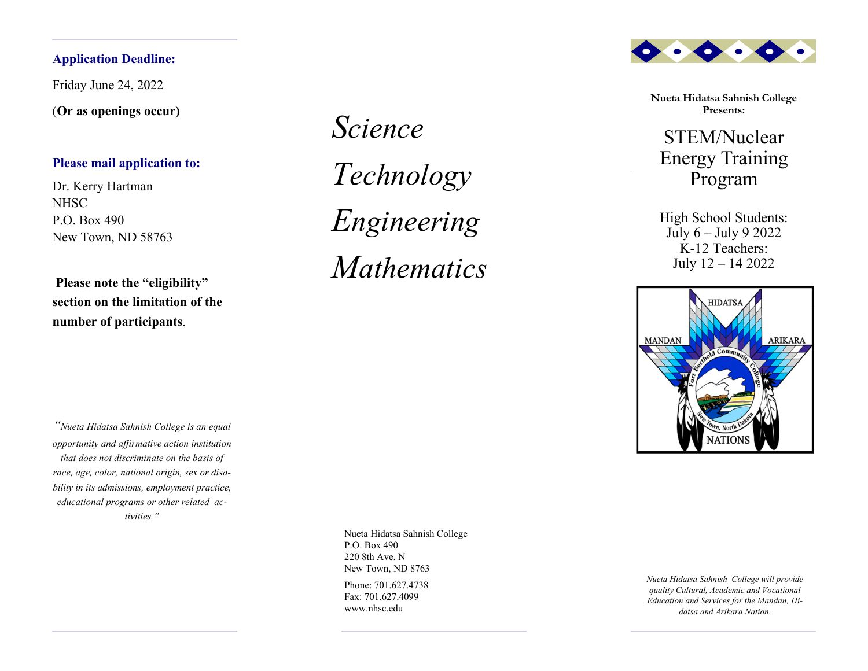# **Application Deadline:**

Friday June 24, 2022

(**Or as openings occur)** 

# **Please mail application to:**

Dr. Kerry Hartman **NHSC** P.O. Box 490 New Town, ND 58763

**Please note the "eligibility" section on the limitation of the number of participants**.

*"Nueta Hidatsa Sahnish College is an equal opportunity and affirmative action institution that does not discriminate on the basis of race, age, color, national origin, sex or disability in its admissions, employment practice, educational programs or other related activities."*

*ScienceTechnology Engineering Mathematics*



**Nueta Hidatsa Sahnish College Presents:**

STEM/Nuclear Energy Training Program

High School Students: July 6 – July 9 2022 K-12 Teachers: July 12 – 14 2022



Nueta Hidatsa Sahnish College P.O. Box 490 220 8th Ave. N New Town, ND 8763

Phone: 701.627.4738 Fax: 701.627.4099 www.nhsc.edu

*Nueta Hidatsa Sahnish College will provide quality Cultural, Academic and Vocational Education and Services for the Mandan, Hidatsa and Arikara Nation.*